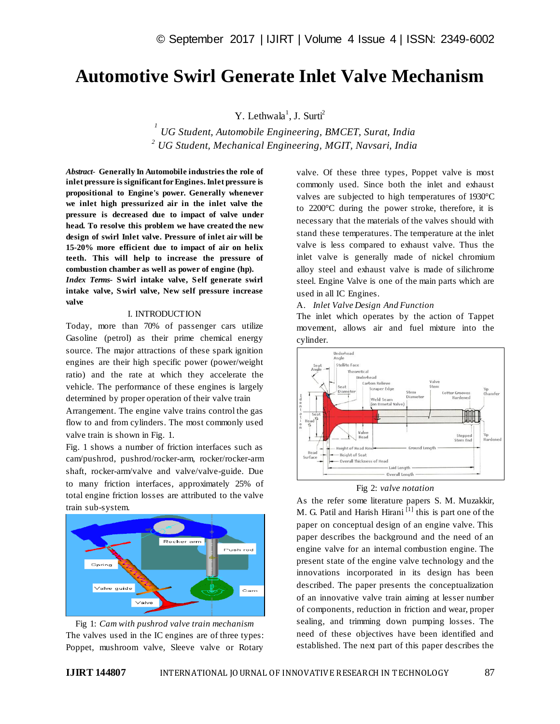# **Automotive Swirl Generate Inlet Valve Mechanism**

## Y. Lethwala<sup>1</sup>, J. Surti<sup>2</sup>

*1 UG Student, Automobile Engineering, BMCET, Surat, India <sup>2</sup> UG Student, Mechanical Engineering, MGIT, Navsari, India*

*Abstract*- **Generally In Automobile industries the role of inlet pressure is significant for Engines. Inlet pressure is propositional to Engine's power. Generally whenever we inlet high pressurized air in the inlet valve the pressure is decreased due to impact of valve under head. To resolve this problem we have created the new design of swirl Inlet valve. Pressure of inlet air will be 15-20% more efficient due to impact of air on helix teeth. This will help to increase the pressure of combustion chamber as well as power of engine (hp).**

*Index Terms***- Swirl intake valve, Self generate swirl intake valve, Swirl valve, New self pressure increase valve**

#### I. INTRODUCTION

Today, more than 70% of passenger cars utilize Gasoline (petrol) as their prime chemical energy source. The major attractions of these spark ignition engines are their high specific power (power/weight ratio) and the rate at which they accelerate the vehicle. The performance of these engines is largely determined by proper operation of their valve train

Arrangement. The engine valve trains control the gas flow to and from cylinders. The most commonly used valve train is shown in Fig. 1.

Fig. 1 shows a number of friction interfaces such as cam/pushrod, pushrod/rocker-arm, rocker/rocker-arm shaft, rocker-arm/valve and valve/valve-guide. Due to many friction interfaces, approximately 25% of total engine friction losses are attributed to the valve train sub-system.





valve. Of these three types, Poppet valve is most commonly used. Since both the inlet and exhaust valves are subjected to high temperatures of 1930°C to 2200°C during the power stroke, therefore, it is necessary that the materials of the valves should with stand these temperatures. The temperature at the inlet valve is less compared to exhaust valve. Thus the inlet valve is generally made of nickel chromium alloy steel and exhaust valve is made of silichrome steel. Engine Valve is one of the main parts which are used in all IC Engines.

A. *Inlet Valve Design And Function*

The inlet which operates by the action of Tappet movement, allows air and fuel mixture into the cylinder.





As the refer some literature papers S. M. Muzakkir, M. G. Patil and Harish Hirani $\left[1\right]$  this is part one of the paper on conceptual design of an engine valve. This paper describes the background and the need of an engine valve for an internal combustion engine. The present state of the engine valve technology and the innovations incorporated in its design has been described. The paper presents the conceptualization of an innovative valve train aiming at lesser number of components, reduction in friction and wear, proper sealing, and trimming down pumping losses. The need of these objectives have been identified and established. The next part of this paper describes the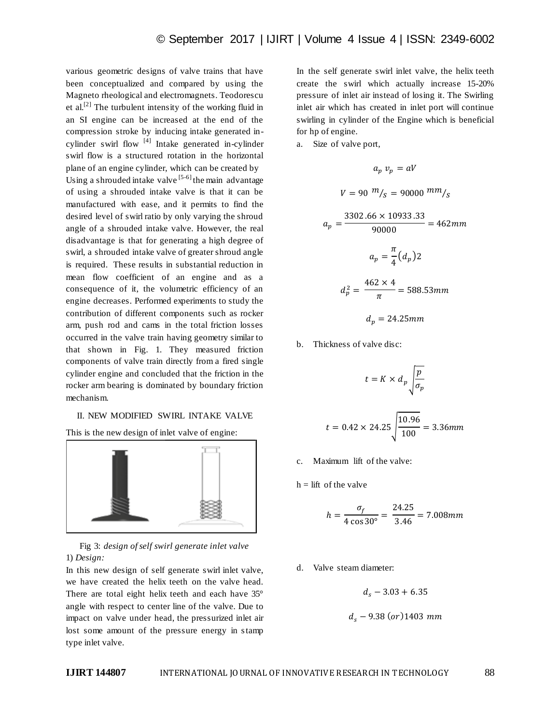various geometric designs of valve trains that have been conceptualized and compared by using the Magneto rheological and electromagnets. Teodorescu et al.<sup>[2]</sup> The turbulent intensity of the working fluid in an SI engine can be increased at the end of the compression stroke by inducing intake generated incylinder swirl flow  $[4]$  Intake generated in-cylinder swirl flow is a structured rotation in the horizontal plane of an engine cylinder, which can be created by Using a shrouded intake valve  $[5-6]$  the main advantage of using a shrouded intake valve is that it can be manufactured with ease, and it permits to find the desired level of swirl ratio by only varying the shroud angle of a shrouded intake valve. However, the real disadvantage is that for generating a high degree of swirl, a shrouded intake valve of greater shroud angle is required. These results in substantial reduction in mean flow coefficient of an engine and as a consequence of it, the volumetric efficiency of an engine decreases. Performed experiments to study the contribution of different components such as rocker arm, push rod and cams in the total friction losses occurred in the valve train having geometry similar to that shown in Fig. 1. They measured friction components of valve train directly from a fired single cylinder engine and concluded that the friction in the rocker arm bearing is dominated by boundary friction mechanism.

### II. NEW MODIFIED SWIRL INTAKE VALVE

This is the new design of inlet valve of engine:



Fig 3: *design of self swirl generate inlet valve* 1) *Design:*

In this new design of self generate swirl inlet valve, we have created the helix teeth on the valve head. There are total eight helix teeth and each have 35° angle with respect to center line of the valve. Due to impact on valve under head, the pressurized inlet air lost some amount of the pressure energy in stamp type inlet valve.

In the self generate swirl inlet valve, the helix teeth create the swirl which actually increase 15-20% pressure of inlet air instead of losing it. The Swirling inlet air which has created in inlet port will continue swirling in cylinder of the Engine which is beneficial for hp of engine.

a. Size of valve port,

$$
a_p v_p = aV
$$
  
\n
$$
V = 90 \frac{m}{s} = 90000 \frac{mm}{s}
$$
  
\n
$$
a_p = \frac{3302.66 \times 10933.33}{90000} = 462 mm
$$
  
\n
$$
a_p = \frac{\pi}{4} (d_p) 2
$$

$$
d_p^2 = \frac{462 \times 4}{\pi} = 588.53 \, \text{mm}
$$

$$
d_p = 24.25 \, mm
$$

b. Thickness of valve disc:

$$
t = K \times d_p \sqrt{\frac{p}{\sigma_p}}
$$

$$
t = 0.42 \times 24.25 \sqrt{\frac{10.96}{100}} = 3.36 \, mm
$$

- c. Maximum lift of the valve:
- $h =$  lift of the valve

$$
h = \frac{\sigma_f}{4 \cos 30^\circ} = \frac{24.25}{3.46} = 7.008 \, \text{mm}
$$

d. Valve steam diameter:

$$
d_s - 3.03 + 6.35
$$

$$
d_s
$$
 – 9.38 (or) 1403 mm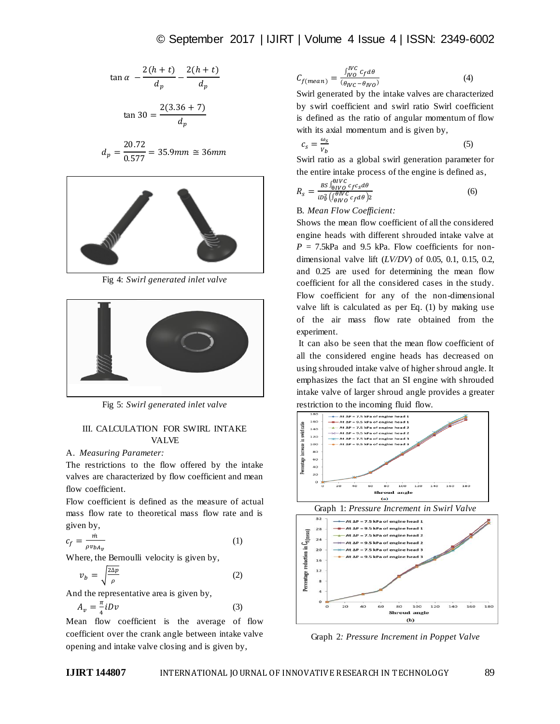$$
\tan \alpha - \frac{2(h+t)}{d_p} - \frac{2(h+t)}{d_p}
$$

$$
\tan 30 = \frac{2(3.36 + 7)}{d_n}
$$

$$
d_p = \frac{20.72}{0.577} = 35.9 \, \text{mm} \cong 36 \, \text{mm}
$$



Fig 4: *Swirl generated inlet valve*



Fig 5: *Swirl generated inlet valve*

## III. CALCULATION FOR SWIRL INTAKE VALVE

## A. *Measuring Parameter:*

The restrictions to the flow offered by the intake valves are characterized by flow coefficient and mean flow coefficient.

Flow coefficient is defined as the measure of actual mass flow rate to theoretical mass flow rate and is given by,

$$
c_f = \frac{\dot{m}}{\rho v_{bA_v}}\tag{1}
$$

Where, the Bernoulli velocity is given by,

$$
v_b = \sqrt{\frac{2\Delta p}{\rho}}\tag{2}
$$

And the representative area is given by,

$$
A_{\nu} = \frac{\pi}{4} i D \nu \tag{3}
$$

Mean flow coefficient is the average of flow coefficient over the crank angle between intake valve opening and intake valve closing and is given by,

$$
C_{f(mean)} = \frac{\int_{IVC}^{IVC} c_f d\theta}{(\theta_{IVC} - \theta_{IVO})}
$$
(4)

Swirl generated by the intake valves are characterized by swirl coefficient and swirl ratio Swirl coefficient is defined as the ratio of angular momentum of flow with its axial momentum and is given by,

$$
c_s = \frac{\omega_s}{v_b} \tag{5}
$$

Swirl ratio as a global swirl generation parameter for the entire intake process of the engine is defined as,

$$
R_s = \frac{BS \int_{\Theta IVC}^{\Theta IVC} c_f c_s d\theta}{i D_{\Phi}^2 \left( \int_{\Theta IVC}^{\Theta IVC} c_f d\theta \right) 2}
$$
(6)

B. *Mean Flow Coefficient:*

Shows the mean flow coefficient of all the considered engine heads with different shrouded intake valve at  $P = 7.5$ kPa and 9.5 kPa. Flow coefficients for nondimensional valve lift (*LV/DV*) of 0.05, 0.1, 0.15, 0.2, and 0.25 are used for determining the mean flow coefficient for all the considered cases in the study. Flow coefficient for any of the non-dimensional valve lift is calculated as per Eq. (1) by making use of the air mass flow rate obtained from the experiment.

It can also be seen that the mean flow coefficient of all the considered engine heads has decreased on using shrouded intake valve of higher shroud angle. It emphasizes the fact that an SI engine with shrouded intake valve of larger shroud angle provides a greater restriction to the incoming fluid flow.



Graph 2*: Pressure Increment in Poppet Valve*